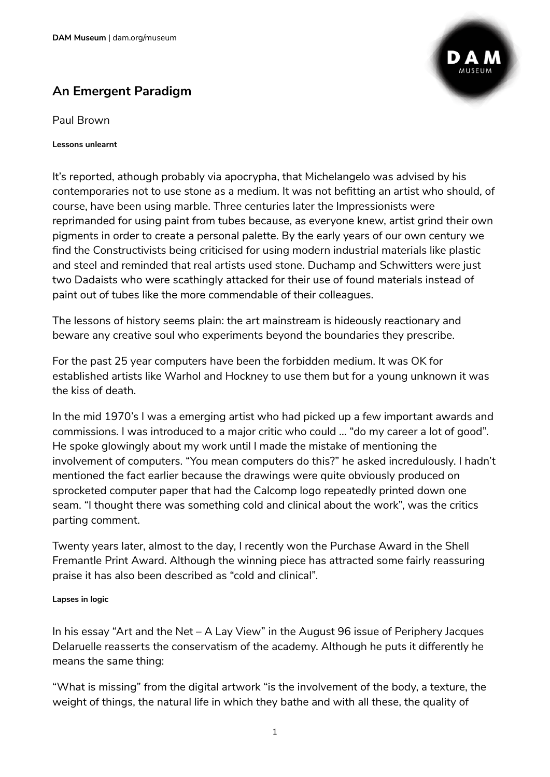# **An Emergent Paradigm**

Paul Brown

**Lessons unlearnt** 

It's reported, athough probably via apocrypha, that Michelangelo was advised by his contemporaries not to use stone as a medium. It was not befitting an artist who should, of course, have been using marble. Three centuries later the Impressionists were reprimanded for using paint from tubes because, as everyone knew, artist grind their own pigments in order to create a personal palette. By the early years of our own century we find the Constructivists being criticised for using modern industrial materials like plastic and steel and reminded that real artists used stone. Duchamp and Schwitters were just two Dadaists who were scathingly attacked for their use of found materials instead of paint out of tubes like the more commendable of their colleagues.

The lessons of history seems plain: the art mainstream is hideously reactionary and beware any creative soul who experiments beyond the boundaries they prescribe.

For the past 25 year computers have been the forbidden medium. It was OK for established artists like Warhol and Hockney to use them but for a young unknown it was the kiss of death.

In the mid 1970's I was a emerging artist who had picked up a few important awards and commissions. I was introduced to a major critic who could … "do my career a lot of good". He spoke glowingly about my work until I made the mistake of mentioning the involvement of computers. "You mean computers do this?" he asked incredulously. I hadn't mentioned the fact earlier because the drawings were quite obviously produced on sprocketed computer paper that had the Calcomp logo repeatedly printed down one seam. "I thought there was something cold and clinical about the work", was the critics parting comment.

Twenty years later, almost to the day, I recently won the Purchase Award in the Shell Fremantle Print Award. Although the winning piece has attracted some fairly reassuring praise it has also been described as "cold and clinical".

#### **Lapses in logic**

In his essay "Art and the Net – A Lay View" in the August 96 issue of Periphery Jacques Delaruelle reasserts the conservatism of the academy. Although he puts it differently he means the same thing:

"What is missing" from the digital artwork "is the involvement of the body, a texture, the weight of things, the natural life in which they bathe and with all these, the quality of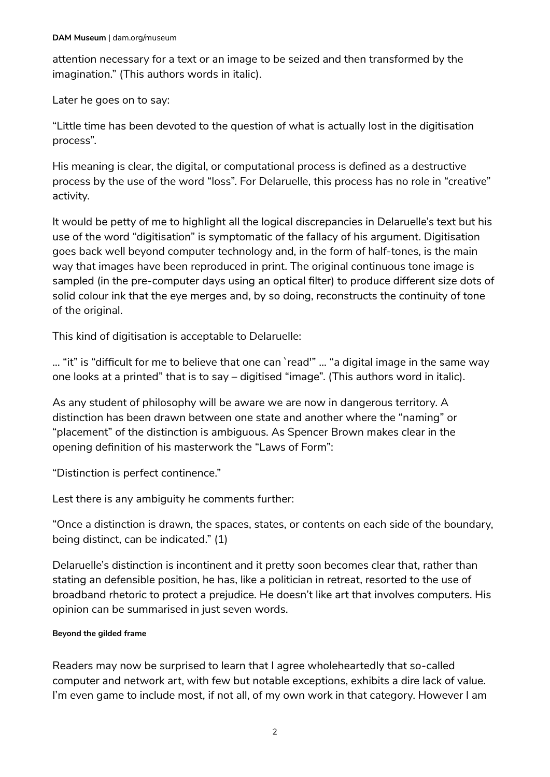attention necessary for a text or an image to be seized and then transformed by the imagination." (This authors words in italic).

Later he goes on to say:

"Little time has been devoted to the question of what is actually lost in the digitisation process".

His meaning is clear, the digital, or computational process is defined as a destructive process by the use of the word "loss". For Delaruelle, this process has no role in "creative" activity.

It would be petty of me to highlight all the logical discrepancies in Delaruelle's text but his use of the word "digitisation" is symptomatic of the fallacy of his argument. Digitisation goes back well beyond computer technology and, in the form of half-tones, is the main way that images have been reproduced in print. The original continuous tone image is sampled (in the pre-computer days using an optical filter) to produce different size dots of solid colour ink that the eye merges and, by so doing, reconstructs the continuity of tone of the original.

This kind of digitisation is acceptable to Delaruelle:

… "it" is "difficult for me to believe that one can `read'" … "a digital image in the same way one looks at a printed" that is to say – digitised "image". (This authors word in italic).

As any student of philosophy will be aware we are now in dangerous territory. A distinction has been drawn between one state and another where the "naming" or "placement" of the distinction is ambiguous. As Spencer Brown makes clear in the opening definition of his masterwork the "Laws of Form":

"Distinction is perfect continence."

Lest there is any ambiguity he comments further:

"Once a distinction is drawn, the spaces, states, or contents on each side of the boundary, being distinct, can be indicated." (1)

Delaruelle's distinction is incontinent and it pretty soon becomes clear that, rather than stating an defensible position, he has, like a politician in retreat, resorted to the use of broadband rhetoric to protect a prejudice. He doesn't like art that involves computers. His opinion can be summarised in just seven words.

### **Beyond the gilded frame**

Readers may now be surprised to learn that I agree wholeheartedly that so-called computer and network art, with few but notable exceptions, exhibits a dire lack of value. I'm even game to include most, if not all, of my own work in that category. However I am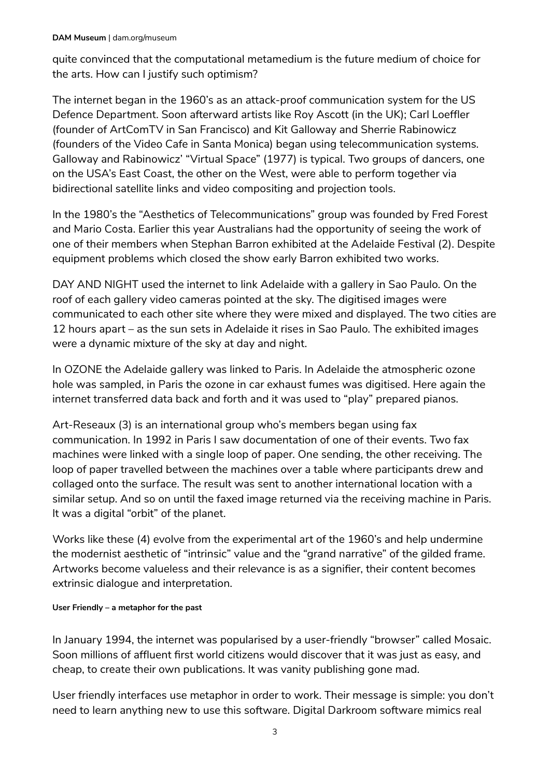quite convinced that the computational metamedium is the future medium of choice for the arts. How can I justify such optimism?

The internet began in the 1960's as an attack-proof communication system for the US Defence Department. Soon afterward artists like Roy Ascott (in the UK); Carl Loeffler (founder of ArtComTV in San Francisco) and Kit Galloway and Sherrie Rabinowicz (founders of the Video Cafe in Santa Monica) began using telecommunication systems. Galloway and Rabinowicz' "Virtual Space" (1977) is typical. Two groups of dancers, one on the USA's East Coast, the other on the West, were able to perform together via bidirectional satellite links and video compositing and projection tools.

In the 1980's the "Aesthetics of Telecommunications" group was founded by Fred Forest and Mario Costa. Earlier this year Australians had the opportunity of seeing the work of one of their members when Stephan Barron exhibited at the Adelaide Festival (2). Despite equipment problems which closed the show early Barron exhibited two works.

DAY AND NIGHT used the internet to link Adelaide with a gallery in Sao Paulo. On the roof of each gallery video cameras pointed at the sky. The digitised images were communicated to each other site where they were mixed and displayed. The two cities are 12 hours apart – as the sun sets in Adelaide it rises in Sao Paulo. The exhibited images were a dynamic mixture of the sky at day and night.

In OZONE the Adelaide gallery was linked to Paris. In Adelaide the atmospheric ozone hole was sampled, in Paris the ozone in car exhaust fumes was digitised. Here again the internet transferred data back and forth and it was used to "play" prepared pianos.

Art-Reseaux (3) is an international group who's members began using fax communication. In 1992 in Paris I saw documentation of one of their events. Two fax machines were linked with a single loop of paper. One sending, the other receiving. The loop of paper travelled between the machines over a table where participants drew and collaged onto the surface. The result was sent to another international location with a similar setup. And so on until the faxed image returned via the receiving machine in Paris. It was a digital "orbit" of the planet.

Works like these (4) evolve from the experimental art of the 1960's and help undermine the modernist aesthetic of "intrinsic" value and the "grand narrative" of the gilded frame. Artworks become valueless and their relevance is as a signifier, their content becomes extrinsic dialogue and interpretation.

### **User Friendly – a metaphor for the past**

In January 1994, the internet was popularised by a user-friendly "browser" called Mosaic. Soon millions of affluent first world citizens would discover that it was just as easy, and cheap, to create their own publications. It was vanity publishing gone mad.

User friendly interfaces use metaphor in order to work. Their message is simple: you don't need to learn anything new to use this software. Digital Darkroom software mimics real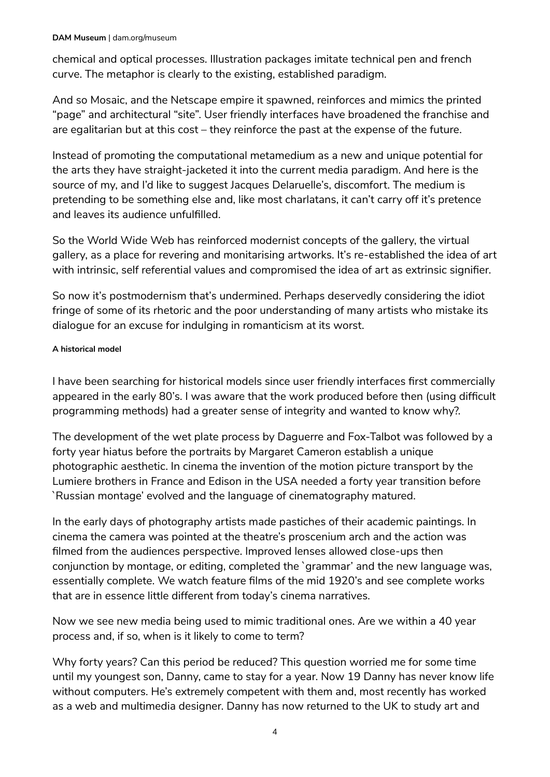#### **DAM Museum** | dam.org/museum

chemical and optical processes. Illustration packages imitate technical pen and french curve. The metaphor is clearly to the existing, established paradigm.

And so Mosaic, and the Netscape empire it spawned, reinforces and mimics the printed "page" and architectural "site". User friendly interfaces have broadened the franchise and are egalitarian but at this cost – they reinforce the past at the expense of the future.

Instead of promoting the computational metamedium as a new and unique potential for the arts they have straight-jacketed it into the current media paradigm. And here is the source of my, and I'd like to suggest Jacques Delaruelle's, discomfort. The medium is pretending to be something else and, like most charlatans, it can't carry off it's pretence and leaves its audience unfulfilled.

So the World Wide Web has reinforced modernist concepts of the gallery, the virtual gallery, as a place for revering and monitarising artworks. It's re-established the idea of art with intrinsic, self referential values and compromised the idea of art as extrinsic signifier.

So now it's postmodernism that's undermined. Perhaps deservedly considering the idiot fringe of some of its rhetoric and the poor understanding of many artists who mistake its dialogue for an excuse for indulging in romanticism at its worst.

#### **A historical model**

I have been searching for historical models since user friendly interfaces first commercially appeared in the early 80's. I was aware that the work produced before then (using difficult programming methods) had a greater sense of integrity and wanted to know why?.

The development of the wet plate process by Daguerre and Fox-Talbot was followed by a forty year hiatus before the portraits by Margaret Cameron establish a unique photographic aesthetic. In cinema the invention of the motion picture transport by the Lumiere brothers in France and Edison in the USA needed a forty year transition before `Russian montage' evolved and the language of cinematography matured.

In the early days of photography artists made pastiches of their academic paintings. In cinema the camera was pointed at the theatre's proscenium arch and the action was filmed from the audiences perspective. Improved lenses allowed close-ups then conjunction by montage, or editing, completed the `grammar' and the new language was, essentially complete. We watch feature films of the mid 1920's and see complete works that are in essence little different from today's cinema narratives.

Now we see new media being used to mimic traditional ones. Are we within a 40 year process and, if so, when is it likely to come to term?

Why forty years? Can this period be reduced? This question worried me for some time until my youngest son, Danny, came to stay for a year. Now 19 Danny has never know life without computers. He's extremely competent with them and, most recently has worked as a web and multimedia designer. Danny has now returned to the UK to study art and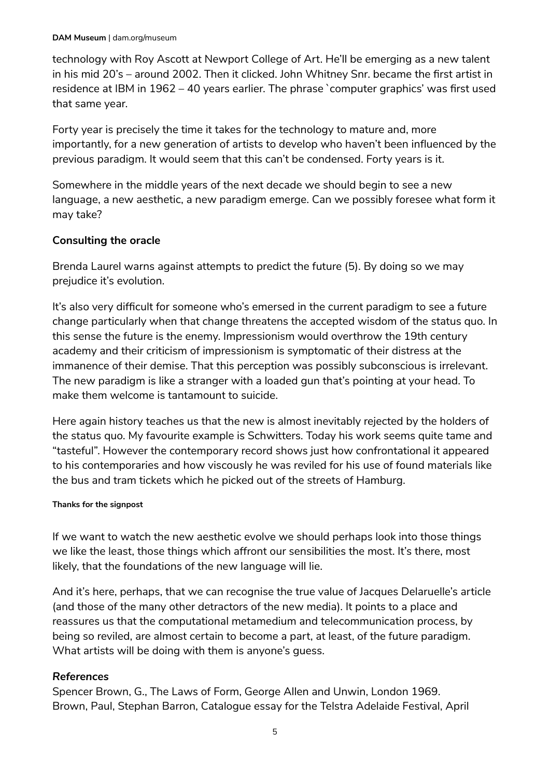technology with Roy Ascott at Newport College of Art. He'll be emerging as a new talent in his mid 20's – around 2002. Then it clicked. John Whitney Snr. became the first artist in residence at IBM in 1962 – 40 years earlier. The phrase `computer graphics' was first used that same year.

Forty year is precisely the time it takes for the technology to mature and, more importantly, for a new generation of artists to develop who haven't been influenced by the previous paradigm. It would seem that this can't be condensed. Forty years is it.

Somewhere in the middle years of the next decade we should begin to see a new language, a new aesthetic, a new paradigm emerge. Can we possibly foresee what form it may take?

### **Consulting the oracle**

Brenda Laurel warns against attempts to predict the future (5). By doing so we may prejudice it's evolution.

It's also very difficult for someone who's emersed in the current paradigm to see a future change particularly when that change threatens the accepted wisdom of the status quo. In this sense the future is the enemy. Impressionism would overthrow the 19th century academy and their criticism of impressionism is symptomatic of their distress at the immanence of their demise. That this perception was possibly subconscious is irrelevant. The new paradigm is like a stranger with a loaded gun that's pointing at your head. To make them welcome is tantamount to suicide.

Here again history teaches us that the new is almost inevitably rejected by the holders of the status quo. My favourite example is Schwitters. Today his work seems quite tame and "tasteful". However the contemporary record shows just how confrontational it appeared to his contemporaries and how viscously he was reviled for his use of found materials like the bus and tram tickets which he picked out of the streets of Hamburg.

### **Thanks for the signpost**

If we want to watch the new aesthetic evolve we should perhaps look into those things we like the least, those things which affront our sensibilities the most. It's there, most likely, that the foundations of the new language will lie.

And it's here, perhaps, that we can recognise the true value of Jacques Delaruelle's article (and those of the many other detractors of the new media). It points to a place and reassures us that the computational metamedium and telecommunication process, by being so reviled, are almost certain to become a part, at least, of the future paradigm. What artists will be doing with them is anyone's guess.

### *References*

Spencer Brown, G., The Laws of Form, George Allen and Unwin, London 1969. Brown, Paul, Stephan Barron, Catalogue essay for the Telstra Adelaide Festival, April